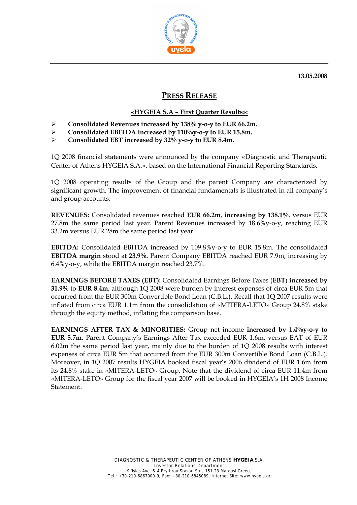

**13.05.2008** 

## **PRESS RELEASE**

## **«HYGEIA S.Α – First Quarter Results»:**

- ¾ **Consolidated Revenues increased by 138% y-o-y to EUR 66.2m.**
- ¾ **Consolidated EBITDA increased by 110%y-o-y to EUR 15.8m.**
- ¾ **Consolidated EBT increased by 32% y-o-y to EUR 8.4m.**

1Q 2008 financial statements were announced by the company «Diagnostic and Therapeutic Center of Athens HYGEIA S.A.», based on the International Financial Reporting Standards.

1Q 2008 operating results of the Group and the parent Company are characterized by significant growth. The improvement of financial fundamentals is illustrated in all company's and group accounts:

**REVENUES:** Consolidated revenues reached **EUR 66.2m, increasing by 138.1%**, versus EUR 27.8m the same period last year. Parent Revenues increased by 18.6%y-o-y, reaching EUR 33.2m versus EUR 28m the same period last year.

**EBITDA:** Consolidated EBITDA increased by 109.8%y-o-y to EUR 15.8m. The consolidated **EBITDA margin** stood at **23.9%.** Parent Company EBITDA reached EUR 7.9m, increasing by 6.4%y-o-y, while the EBITDA margin reached 23.7%.

**EARNINGS BEFORE TAXES (EBT):** Consolidated Earnings Before Taxes (**EBT**) **increased by 31.9%** to **EUR 8.4m**, although 1Q 2008 were burden by interest expenses of circa EUR 5m that occurred from the EUR 300m Convertible Bond Loan (C.B.L.). Recall that 1Q 2007 results were inflated from circa EUR 1.1m from the consolidation of «MITERA-LETO» Group 24.8% stake through the equity method, inflating the comparison base.

**EARNINGS AFTER TAX & MINORITIES:** Group net income **increased by 1.4%y-o-y to EUR 5.7m**. Parent Company's Earnings After Tax exceeded EUR 1.6m, versus EAT of EUR 6.02m the same period last year, mainly due to the burden of 1Q 2008 results with interest expenses of circa EUR 5m that occurred from the EUR 300m Convertible Bond Loan (C.B.L.). Moreover, in 1Q 2007 results HYGEIA booked fiscal year's 2006 dividend of EUR 1.6m from its 24.8% stake in «MITERA-LETO» Group. Note that the dividend of circa EUR 11.4m from «MITERA-LETO» Group for the fiscal year 2007 will be booked in HYGEIA's 1H 2008 Income Statement.